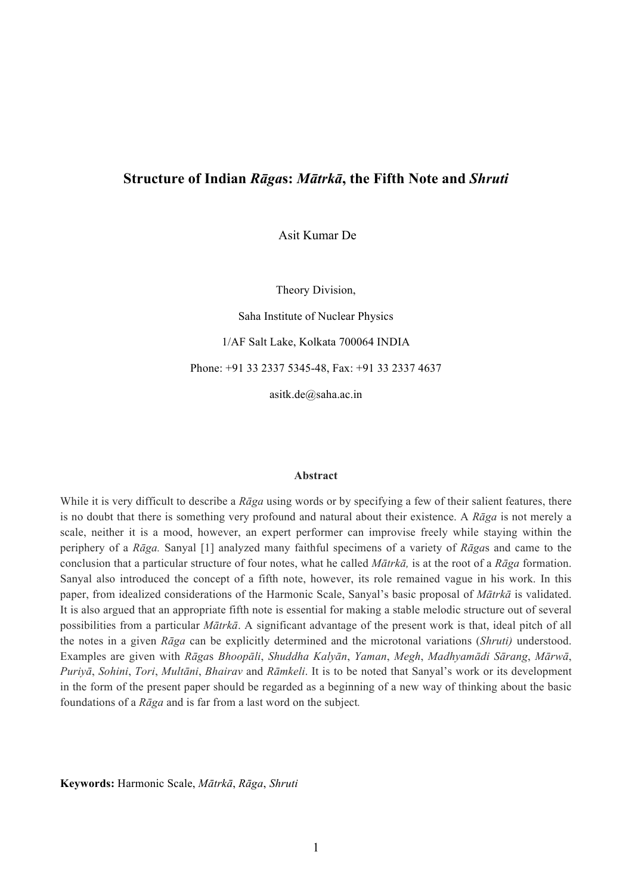# **Structure of Indian** *Rāga***s:** *Mātrkā***, the Fifth Note and** *Shruti*

Asit Kumar De

Theory Division,

Saha Institute of Nuclear Physics 1/AF Salt Lake, Kolkata 700064 INDIA Phone: +91 33 2337 5345-48, Fax: +91 33 2337 4637

asitk.de@saha.ac.in

#### **Abstract**

While it is very difficult to describe a *Rāga* using words or by specifying a few of their salient features, there is no doubt that there is something very profound and natural about their existence. A *Rāga* is not merely a scale, neither it is a mood, however, an expert performer can improvise freely while staying within the periphery of a *Rāga.* Sanyal [1] analyzed many faithful specimens of a variety of *Rāga*s and came to the conclusion that a particular structure of four notes, what he called *Mātrkā,* is at the root of a *Rāga* formation. Sanyal also introduced the concept of a fifth note, however, its role remained vague in his work. In this paper, from idealized considerations of the Harmonic Scale, Sanyal's basic proposal of *Mātrkā* is validated. It is also argued that an appropriate fifth note is essential for making a stable melodic structure out of several possibilities from a particular *Mātrkā*. A significant advantage of the present work is that, ideal pitch of all the notes in a given *Rāga* can be explicitly determined and the microtonal variations (*Shruti)* understood. Examples are given with Rāgas Bhoopāli, Shuddha Kalyān, Yaman, Megh, Madhyamādi Sārang, Mārwā, *Puriyā*, *Sohini*, *Tori*, *Multāni*, *Bhairav* and *Rāmkeli*. It is to be noted that Sanyal's work or its development in the form of the present paper should be regarded as a beginning of a new way of thinking about the basic foundations of a *Rāga* and is far from a last word on the subject*.*

**Keywords:** Harmonic Scale, *Mātrkā*, *Rāga*, *Shruti*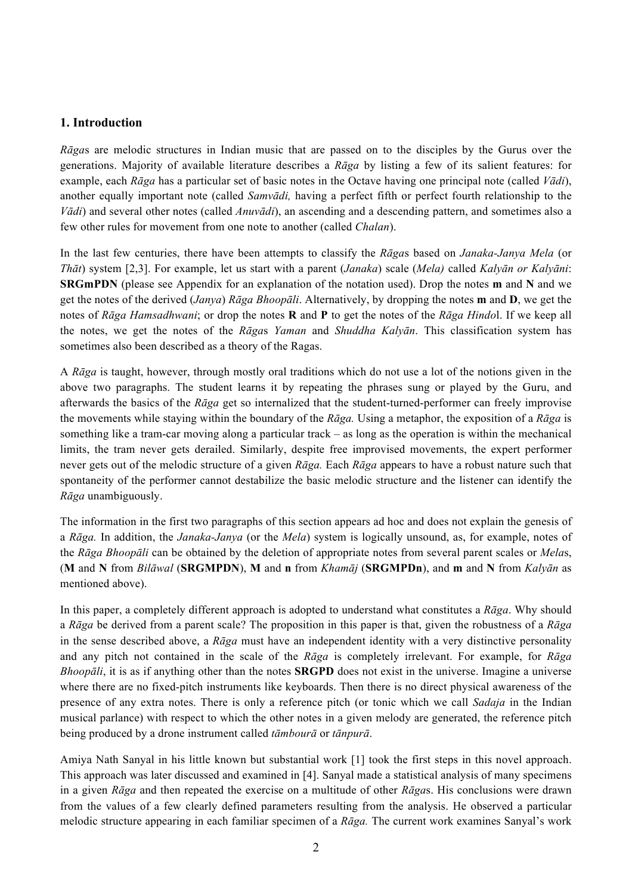# **1. Introduction**

*Rāga*s are melodic structures in Indian music that are passed on to the disciples by the Gurus over the generations. Majority of available literature describes a *Rāga* by listing a few of its salient features: for example, each *Rāga* has a particular set of basic notes in the Octave having one principal note (called *Vādi*), another equally important note (called *Samvādi,* having a perfect fifth or perfect fourth relationship to the *Vādi*) and several other notes (called *Anuvādi*), an ascending and a descending pattern, and sometimes also a few other rules for movement from one note to another (called *Chalan*).

In the last few centuries, there have been attempts to classify the *Rāga*s based on *Janaka-Janya Mela* (or *Thāt*) system [2,3]. For example, let us start with a parent (*Janaka*) scale (*Mela)* called *Kalyān or Kalyāni*: **SRGmPDN** (please see Appendix for an explanation of the notation used). Drop the notes **m** and **N** and we get the notes of the derived (*Janya*) *Rāga Bhoopāli*. Alternatively, by dropping the notes **m** and **D**, we get the notes of *Rāga Hamsadhwani*; or drop the notes **R** and **P** to get the notes of the *Rāga Hindo*l. If we keep all the notes, we get the notes of the *Rāga*s *Yaman* and *Shuddha Kalyān*. This classification system has sometimes also been described as a theory of the Ragas.

A *Rāga* is taught, however, through mostly oral traditions which do not use a lot of the notions given in the above two paragraphs. The student learns it by repeating the phrases sung or played by the Guru, and afterwards the basics of the *Rāga* get so internalized that the student-turned-performer can freely improvise the movements while staying within the boundary of the *Rāga.* Using a metaphor, the exposition of a *Rāga* is something like a tram-car moving along a particular track – as long as the operation is within the mechanical limits, the tram never gets derailed. Similarly, despite free improvised movements, the expert performer never gets out of the melodic structure of a given *Rāga.* Each *Rāga* appears to have a robust nature such that spontaneity of the performer cannot destabilize the basic melodic structure and the listener can identify the *Rāga* unambiguously.

The information in the first two paragraphs of this section appears ad hoc and does not explain the genesis of a *Rāga.* In addition, the *Janaka-Janya* (or the *Mela*) system is logically unsound, as, for example, notes of the *Rāga Bhoopāli* can be obtained by the deletion of appropriate notes from several parent scales or *Mela*s, (**M** and **N** from *Bilāwal* (**SRGMPDN**), **M** and **n** from *Khamāj* (**SRGMPDn**), and **m** and **N** from *Kalyān* as mentioned above).

In this paper, a completely different approach is adopted to understand what constitutes a *Rāga*. Why should a *Rāga* be derived from a parent scale? The proposition in this paper is that, given the robustness of a *Rāga* in the sense described above, a *Rāga* must have an independent identity with a very distinctive personality and any pitch not contained in the scale of the *Rāga* is completely irrelevant. For example, for *Rāga Bhoopāli*, it is as if anything other than the notes **SRGPD** does not exist in the universe. Imagine a universe where there are no fixed-pitch instruments like keyboards. Then there is no direct physical awareness of the presence of any extra notes. There is only a reference pitch (or tonic which we call *Sadaja* in the Indian musical parlance) with respect to which the other notes in a given melody are generated, the reference pitch being produced by a drone instrument called *tāmbourā* or *tānpurā*.

Amiya Nath Sanyal in his little known but substantial work [1] took the first steps in this novel approach. This approach was later discussed and examined in [4]. Sanyal made a statistical analysis of many specimens in a given *Rāga* and then repeated the exercise on a multitude of other *Rāga*s. His conclusions were drawn from the values of a few clearly defined parameters resulting from the analysis. He observed a particular melodic structure appearing in each familiar specimen of a *Rāga.* The current work examines Sanyal's work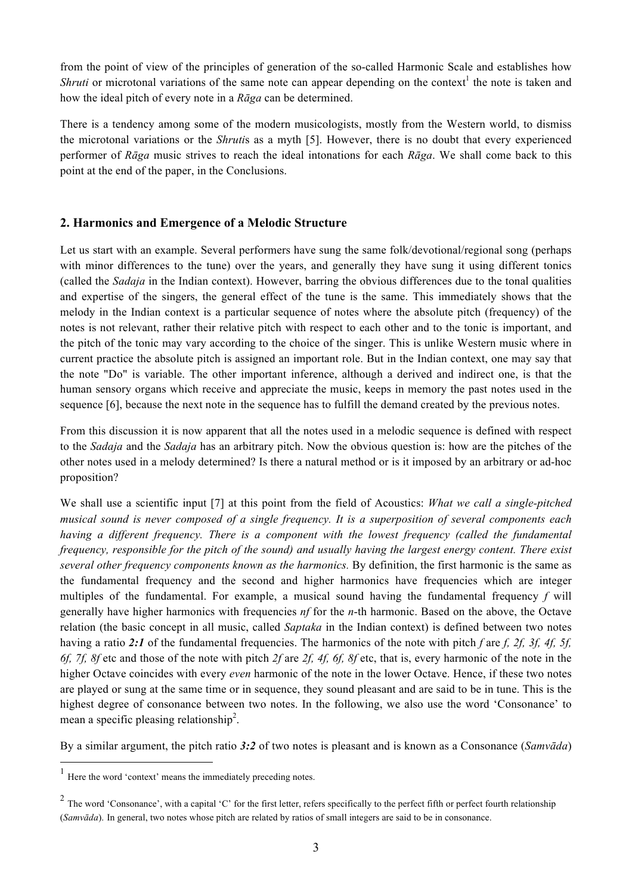from the point of view of the principles of generation of the so-called Harmonic Scale and establishes how *Shruti* or microtonal variations of the same note can appear depending on the context<sup>1</sup> the note is taken and how the ideal pitch of every note in a *Rāga* can be determined.

There is a tendency among some of the modern musicologists, mostly from the Western world, to dismiss the microtonal variations or the *Shruti*s as a myth [5]. However, there is no doubt that every experienced performer of *Rāga* music strives to reach the ideal intonations for each *Rāga*. We shall come back to this point at the end of the paper, in the Conclusions.

# **2. Harmonics and Emergence of a Melodic Structure**

Let us start with an example. Several performers have sung the same folk/devotional/regional song (perhaps with minor differences to the tune) over the years, and generally they have sung it using different tonics (called the *Sadaja* in the Indian context). However, barring the obvious differences due to the tonal qualities and expertise of the singers, the general effect of the tune is the same. This immediately shows that the melody in the Indian context is a particular sequence of notes where the absolute pitch (frequency) of the notes is not relevant, rather their relative pitch with respect to each other and to the tonic is important, and the pitch of the tonic may vary according to the choice of the singer. This is unlike Western music where in current practice the absolute pitch is assigned an important role. But in the Indian context, one may say that the note "Do" is variable. The other important inference, although a derived and indirect one, is that the human sensory organs which receive and appreciate the music, keeps in memory the past notes used in the sequence [6], because the next note in the sequence has to fulfill the demand created by the previous notes.

From this discussion it is now apparent that all the notes used in a melodic sequence is defined with respect to the *Sadaja* and the *Sadaja* has an arbitrary pitch. Now the obvious question is: how are the pitches of the other notes used in a melody determined? Is there a natural method or is it imposed by an arbitrary or ad-hoc proposition?

We shall use a scientific input [7] at this point from the field of Acoustics: *What we call a single-pitched musical sound is never composed of a single frequency. It is a superposition of several components each having a different frequency. There is a component with the lowest frequency (called the fundamental frequency, responsible for the pitch of the sound) and usually having the largest energy content. There exist several other frequency components known as the harmonics.* By definition, the first harmonic is the same as the fundamental frequency and the second and higher harmonics have frequencies which are integer multiples of the fundamental. For example, a musical sound having the fundamental frequency *f* will generally have higher harmonics with frequencies *nf* for the *n*-th harmonic. Based on the above, the Octave relation (the basic concept in all music, called *Saptaka* in the Indian context) is defined between two notes having a ratio 2:1 of the fundamental frequencies. The harmonics of the note with pitch *f* are *f, 2f, 3f, 4f, 5f, 6f, 7f, 8f* etc and those of the note with pitch *2f* are *2f, 4f, 6f, 8f* etc, that is, every harmonic of the note in the higher Octave coincides with every *even* harmonic of the note in the lower Octave. Hence, if these two notes are played or sung at the same time or in sequence, they sound pleasant and are said to be in tune. This is the highest degree of consonance between two notes. In the following, we also use the word 'Consonance' to mean a specific pleasing relationship<sup>2</sup>.

By a similar argument, the pitch ratio *3:2* of two notes is pleasant and is known as a Consonance (*Samvāda*)

 <sup>1</sup> Here the word 'context' means the immediately preceding notes.

 $2$  The word 'Consonance', with a capital 'C' for the first letter, refers specifically to the perfect fifth or perfect fourth relationship (*Samvāda*). In general, two notes whose pitch are related by ratios of small integers are said to be in consonance.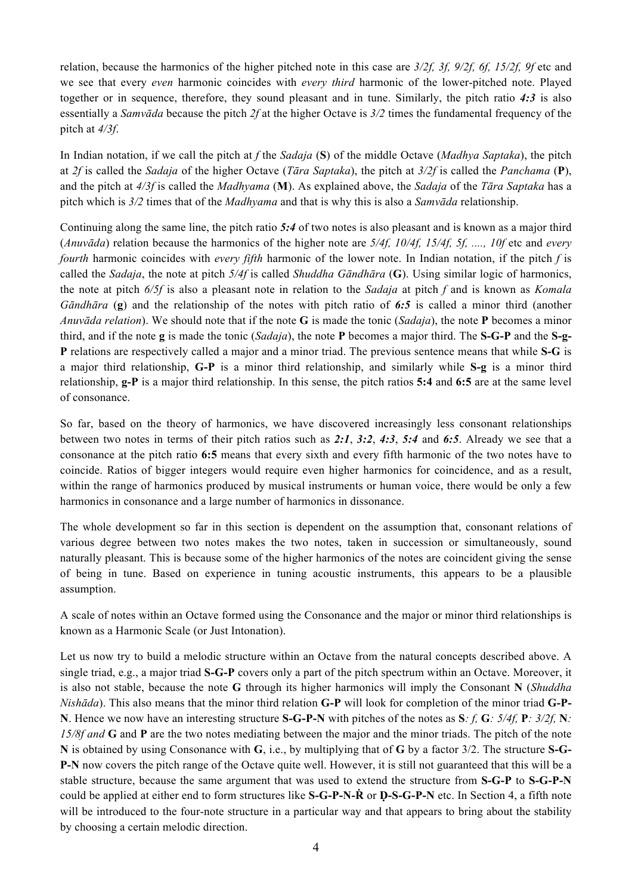relation, because the harmonics of the higher pitched note in this case are *3/2f, 3f, 9/2f, 6f, 15/2f, 9f* etc and we see that every *even* harmonic coincides with *every third* harmonic of the lower-pitched note. Played together or in sequence, therefore, they sound pleasant and in tune. Similarly, the pitch ratio *4:3* is also essentially a *Samvāda* because the pitch *2f* at the higher Octave is *3/2* times the fundamental frequency of the pitch at *4/3f*.

In Indian notation, if we call the pitch at *f* the *Sadaja* (**S**) of the middle Octave (*Madhya Saptaka*), the pitch at *2f* is called the *Sadaja* of the higher Octave (*Tāra Saptaka*), the pitch at *3/2f* is called the *Panchama* (**P**), and the pitch at *4/3f* is called the *Madhyama* (**M**). As explained above, the *Sadaja* of the *Tāra Saptaka* has a pitch which is *3/2* times that of the *Madhyama* and that is why this is also a *Samvāda* relationship.

Continuing along the same line, the pitch ratio *5:4* of two notes is also pleasant and is known as a major third (*Anuvāda*) relation because the harmonics of the higher note are *5/4f, 10/4f, 15/4f, 5f, ...., 10f* etc and *every fourth* harmonic coincides with *every fifth* harmonic of the lower note. In Indian notation, if the pitch *f* is called the *Sadaja*, the note at pitch *5/4f* is called *Shuddha Gāndhāra* (**G**). Using similar logic of harmonics, the note at pitch *6/5f* is also a pleasant note in relation to the *Sadaja* at pitch *f* and is known as *Komala Gāndhāra* (**g**) and the relationship of the notes with pitch ratio of *6:5* is called a minor third (another *Anuvāda relation*). We should note that if the note **G** is made the tonic (*Sadaja*), the note **P** becomes a minor third, and if the note **g** is made the tonic (*Sadaja*), the note **P** becomes a major third. The **S-G-P** and the **S-g-P** relations are respectively called a major and a minor triad. The previous sentence means that while **S-G** is a major third relationship, **G-P** is a minor third relationship, and similarly while **S-g** is a minor third relationship, **g-P** is a major third relationship. In this sense, the pitch ratios **5:4** and **6:5** are at the same level of consonance.

So far, based on the theory of harmonics, we have discovered increasingly less consonant relationships between two notes in terms of their pitch ratios such as *2:1*, *3:2*, *4:3*, *5:4* and *6:5*. Already we see that a consonance at the pitch ratio **6:5** means that every sixth and every fifth harmonic of the two notes have to coincide. Ratios of bigger integers would require even higher harmonics for coincidence, and as a result, within the range of harmonics produced by musical instruments or human voice, there would be only a few harmonics in consonance and a large number of harmonics in dissonance.

The whole development so far in this section is dependent on the assumption that, consonant relations of various degree between two notes makes the two notes, taken in succession or simultaneously, sound naturally pleasant. This is because some of the higher harmonics of the notes are coincident giving the sense of being in tune. Based on experience in tuning acoustic instruments, this appears to be a plausible assumption.

A scale of notes within an Octave formed using the Consonance and the major or minor third relationships is known as a Harmonic Scale (or Just Intonation).

Let us now try to build a melodic structure within an Octave from the natural concepts described above. A single triad, e.g., a major triad **S-G-P** covers only a part of the pitch spectrum within an Octave. Moreover, it is also not stable, because the note **G** through its higher harmonics will imply the Consonant **N** (*Shuddha Nishāda*). This also means that the minor third relation **G-P** will look for completion of the minor triad **G-P-N**. Hence we now have an interesting structure **S-G-P-N** with pitches of the notes as **S***: f,* **G***: 5/4f,* **P***: 3/2f,* **N***: 15/8f and* **G** and **P** are the two notes mediating between the major and the minor triads. The pitch of the note **N** is obtained by using Consonance with **G**, i.e., by multiplying that of **G** by a factor 3/2. The structure **S-G-P-N** now covers the pitch range of the Octave quite well. However, it is still not guaranteed that this will be a stable structure, because the same argument that was used to extend the structure from **S-G-P** to **S-G-P-N** could be applied at either end to form structures like **S-G-P-N-R** or **D-S-G-P-N** etc. In Section 4, a fifth note will be introduced to the four-note structure in a particular way and that appears to bring about the stability by choosing a certain melodic direction.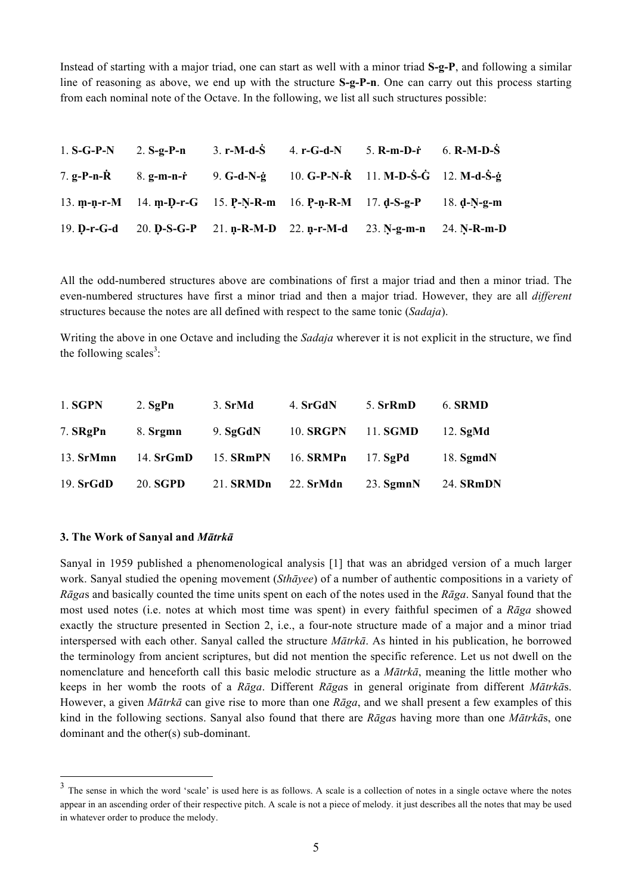Instead of starting with a major triad, one can start as well with a minor triad **S-g-P**, and following a similar line of reasoning as above, we end up with the structure **S-g-P-n**. One can carry out this process starting from each nominal note of the Octave. In the following, we list all such structures possible:

|  | 1. $S-G-P-N$ 2. $S-g-P-n$ 3. $r-M-d-S$ 4. $r-G-d-N$ 5. $R-m-D-r$ 6. $R-M-D-S$                                                                  |  |  |
|--|------------------------------------------------------------------------------------------------------------------------------------------------|--|--|
|  | 7. g-P-n- $\dot{R}$ 8. g-m-n- $\dot{r}$ 9. G-d-N- $\dot{g}$ 10. G-P-N- $\dot{R}$ 11. M-D- $\dot{S}$ - $\dot{G}$ 12. M-d- $\dot{S}$ - $\dot{g}$ |  |  |
|  | 13. m-n-r-M 14. m-D-r-G 15. P-N-R-m 16. P-n-R-M 17. d-S-g-P 18. d-N-g-m                                                                        |  |  |
|  | 19. D-r-G-d 20. D-S-G-P 21. n-R-M-D 22. n-r-M-d 23. N-g-m-n 24. N-R-m-D                                                                        |  |  |

All the odd-numbered structures above are combinations of first a major triad and then a minor triad. The even-numbered structures have first a minor triad and then a major triad. However, they are all *different* structures because the notes are all defined with respect to the same tonic (*Sadaja*).

Writing the above in one Octave and including the *Sadaja* wherever it is not explicit in the structure, we find the following scales<sup>3</sup>:

| 1. SGPN     | $2.$ SgPn       | 3. SrMd          | 4. SrGdN         | 5. SrRmD        | 6. SRMD          |
|-------------|-----------------|------------------|------------------|-----------------|------------------|
| 7. SRgPn    | 8. Srgmn        | 9. $SgGdN$       | <b>10. SRGPN</b> | 11. <b>SGMD</b> | $12.$ SgMd       |
| $13.$ SrMmn | 14. $SrGmD$     | 15. <b>SRmPN</b> | 16. <b>SRMPn</b> | $17.$ SgPd      | 18. $SgmdN$      |
| 19. SrGdD   | 20. <b>SGPD</b> | 21. <b>SRMDn</b> | $22.$ SrMdn      | $23.$ Sgmn $N$  | 24. <b>SRmDN</b> |

#### **3. The Work of Sanyal and** *Mātrkā*

Sanyal in 1959 published a phenomenological analysis [1] that was an abridged version of a much larger work. Sanyal studied the opening movement (*Sthāyee*) of a number of authentic compositions in a variety of *Rāga*s and basically counted the time units spent on each of the notes used in the *Rāga*. Sanyal found that the most used notes (i.e. notes at which most time was spent) in every faithful specimen of a *Rāga* showed exactly the structure presented in Section 2, i.e., a four-note structure made of a major and a minor triad interspersed with each other. Sanyal called the structure *Mātrkā*. As hinted in his publication, he borrowed the terminology from ancient scriptures, but did not mention the specific reference. Let us not dwell on the nomenclature and henceforth call this basic melodic structure as a *Mātrkā*, meaning the little mother who keeps in her womb the roots of a *Rāga*. Different *Rāga*s in general originate from different *Mātrkā*s. However, a given *Mātrkā* can give rise to more than one *Rāga*, and we shall present a few examples of this kind in the following sections. Sanyal also found that there are *Rāga*s having more than one *Mātrkā*s, one dominant and the other(s) sub-dominant.

<sup>&</sup>lt;sup>3</sup> The sense in which the word 'scale' is used here is as follows. A scale is a collection of notes in a single octave where the notes appear in an ascending order of their respective pitch. A scale is not a piece of melody. it just describes all the notes that may be used in whatever order to produce the melody.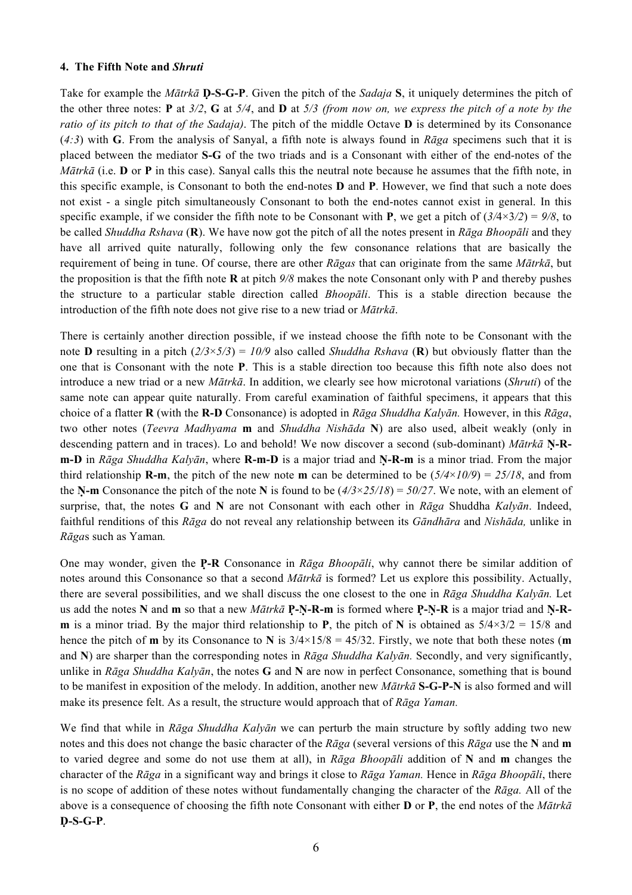## **4. The Fifth Note and** *Shruti*

Take for example the *Mātrkā* **Ḍ-S-G-P**. Given the pitch of the *Sadaja* **S**, it uniquely determines the pitch of the other three notes: **P** at *3/2*, **G** at *5/4*, and **D** at *5/3 (from now on, we express the pitch of a note by the ratio of its pitch to that of the Sadaja)*. The pitch of the middle Octave **D** is determined by its Consonance (*4:3*) with **G**. From the analysis of Sanyal, a fifth note is always found in *Rāga* specimens such that it is placed between the mediator **S-G** of the two triads and is a Consonant with either of the end-notes of the *Mātrkā* (i.e. **D** or **P** in this case). Sanyal calls this the neutral note because he assumes that the fifth note, in this specific example, is Consonant to both the end-notes **D** and **P**. However, we find that such a note does not exist - a single pitch simultaneously Consonant to both the end-notes cannot exist in general. In this specific example, if we consider the fifth note to be Consonant with **P**, we get a pitch of  $(3/4 \times 3/2) = 9/8$ , to be called *Shuddha Rshava* (**R**). We have now got the pitch of all the notes present in *Rāga Bhoopāli* and they have all arrived quite naturally, following only the few consonance relations that are basically the requirement of being in tune. Of course, there are other *Rāgas* that can originate from the same *Mātrkā*, but the proposition is that the fifth note **R** at pitch *9/8* makes the note Consonant only with P and thereby pushes the structure to a particular stable direction called *Bhoopāli*. This is a stable direction because the introduction of the fifth note does not give rise to a new triad or *Mātrkā*.

There is certainly another direction possible, if we instead choose the fifth note to be Consonant with the note **D** resulting in a pitch (*2/3*×*5/3*) = *10/9* also called *Shuddha Rshava* (**R**) but obviously flatter than the one that is Consonant with the note **P**. This is a stable direction too because this fifth note also does not introduce a new triad or a new *Mātrkā*. In addition, we clearly see how microtonal variations (*Shruti*) of the same note can appear quite naturally. From careful examination of faithful specimens, it appears that this choice of a flatter **R** (with the **R-D** Consonance) is adopted in *Rāga Shuddha Kalyān.* However, in this *Rāga*, two other notes (*Teevra Madhyama* **m** and *Shuddha Nishāda* **N**) are also used, albeit weakly (only in descending pattern and in traces). Lo and behold! We now discover a second (sub-dominant) *Mātrkā* **Ṇ-Rm-D** in *Rāga Shuddha Kalyān*, where **R-m-D** is a major triad and **Ṇ-R-m** is a minor triad. From the major third relationship **R-m**, the pitch of the new note **m** can be determined to be  $(5/4 \times 10/9) = 25/18$ , and from the **N-m** Consonance the pitch of the note **N** is found to be  $(4/3 \times 25/18) = 50/27$ . We note, with an element of surprise, that, the notes **G** and **N** are not Consonant with each other in *Rāga* Shuddha *Kalyān*. Indeed, faithful renditions of this *Rāga* do not reveal any relationship between its *Gāndhāra* and *Nishāda,* unlike in *Rāga*s such as Yaman*.*

One may wonder, given the **P-̣R** Consonance in *Rāga Bhoopāli*, why cannot there be similar addition of notes around this Consonance so that a second *Mātrkā* is formed? Let us explore this possibility. Actually, there are several possibilities, and we shall discuss the one closest to the one in *Rāga Shuddha Kalyān.* Let us add the notes **N** and **m** so that a new *Mātrkā* **P-̣Ṇ-R-m** is formed where **P-̣Ṇ-R** is a major triad and **Ṇ-Rm** is a minor triad. By the major third relationship to **P**, the pitch of **N** is obtained as  $5/4 \times 3/2 = 15/8$  and hence the pitch of **m** by its Consonance to **N** is  $3/4 \times 15/8 = 45/32$ . Firstly, we note that both these notes (**m** and **N**) are sharper than the corresponding notes in *Rāga Shuddha Kalyān.* Secondly, and very significantly, unlike in *Rāga Shuddha Kalyān*, the notes **G** and **N** are now in perfect Consonance, something that is bound to be manifest in exposition of the melody. In addition, another new *Mātrkā* **S-G-P-N** is also formed and will make its presence felt. As a result, the structure would approach that of *Rāga Yaman.*

We find that while in *Rāga Shuddha Kalyān* we can perturb the main structure by softly adding two new notes and this does not change the basic character of the *Rāga* (several versions of this *Rāga* use the **N** and **m** to varied degree and some do not use them at all), in *Rāga Bhoopāli* addition of **N** and **m** changes the character of the *Rāga* in a significant way and brings it close to *Rāga Yaman.* Hence in *Rāga Bhoopāli*, there is no scope of addition of these notes without fundamentally changing the character of the *Rāga.* All of the above is a consequence of choosing the fifth note Consonant with either **D** or **P**, the end notes of the *Mātrkā* **Ḍ-S-G-P**.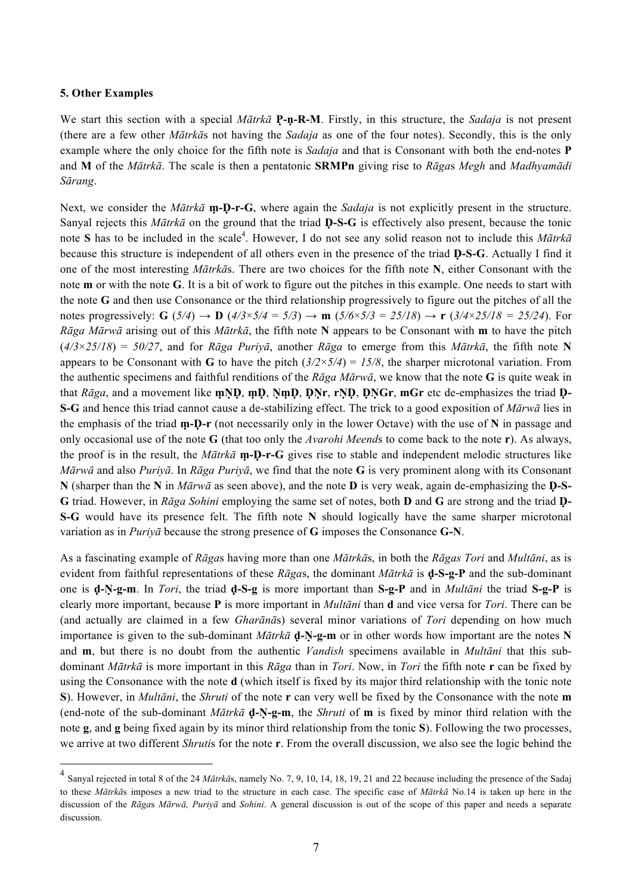## **5. Other Examples**

We start this section with a special *Mātrkā* **P-̣ṇ-R-M**. Firstly, in this structure, the *Sadaja* is not present (there are a few other *Mātrkā*s not having the *Sadaja* as one of the four notes). Secondly, this is the only example where the only choice for the fifth note is *Sadaja* and that is Consonant with both the end-notes **P** and **M** of the *Mātrkā*. The scale is then a pentatonic **SRMPn** giving rise to *Rāga*s *Megh* and *Madhyamādi Sārang*.

Next, we consider the *Mātrkā* **m**-**D**-r-G, where again the *Sadaja* is not explicitly present in the structure. Sanyal rejects this *Mātrkā* on the ground that the triad **Ḍ-S-G** is effectively also present, because the tonic note S has to be included in the scale<sup>4</sup>. However, I do not see any solid reason not to include this *Mātrkā* because this structure is independent of all others even in the presence of the triad **Ḍ-S-G**. Actually I find it one of the most interesting *Mātrkā*s. There are two choices for the fifth note **N**, either Consonant with the note **m** or with the note **G**. It is a bit of work to figure out the pitches in this example. One needs to start with the note **G** and then use Consonance or the third relationship progressively to figure out the pitches of all the notes progressively: **G** ( $5/4$ )  $\rightarrow$  **D** ( $4/3 \times 5/4 = 5/3$ )  $\rightarrow$  **m** ( $5/6 \times 5/3 = 25/18$ )  $\rightarrow$  **r** ( $3/4 \times 25/18 = 25/24$ ). For *Rāga Mārwā* arising out of this *Mātrkā*, the fifth note **N** appears to be Consonant with **m** to have the pitch (*4/3*×*25/18*) = *50/27*, and for *Rāga Puriyā*, another *Rāga* to emerge from this *Mātrkā*, the fifth note **N**  appears to be Consonant with **G** to have the pitch  $(3/2 \times 5/4) = 15/8$ , the sharper microtonal variation. From the authentic specimens and faithful renditions of the *Rāga Mārwā*, we know that the note **G** is quite weak in that *Rāga*, and a movement like **mND**, **mD**, **NmD**, **DNr**, **rND**, **DNGr**, **mGr** etc de-emphasizes the triad **D**-**S-G** and hence this triad cannot cause a de-stabilizing effect. The trick to a good exposition of *Mārwā* lies in the emphasis of the triad **ṃ-Ḍ-r** (not necessarily only in the lower Octave) with the use of **N** in passage and only occasional use of the note **G** (that too only the *Avarohi Meend*s to come back to the note **r**). As always, the proof is in the result, the  $M\bar{a}$ *trka* **m**-**D**-r-G gives rise to stable and independent melodic structures like *Mārwā* and also *Puriyā*. In *Rāga Puriyā*, we find that the note **G** is very prominent along with its Consonant **N** (sharper than the **N** in *Mārwā* as seen above), and the note **D** is very weak, again de-emphasizing the **Ḍ-S-G** triad. However, in *Rāga Sohini* employing the same set of notes, both **D** and **G** are strong and the triad **Ḍ-S-G** would have its presence felt. The fifth note **N** should logically have the same sharper microtonal variation as in *Puriyā* because the strong presence of **G** imposes the Consonance **G-N**.

As a fascinating example of *Rāga*s having more than one *Mātrkā*s, in both the *Rāgas Tori* and *Multāni*, as is evident from faithful representations of these *Rāga*s, the dominant *Mātrkā* is **ḍ-S-g-P** and the sub-dominant one is **ḍ-Ṇ-g-m**. In *Tori*, the triad **ḍ-S-g** is more important than **S-g-P** and in *Multāni* the triad **S-g-P** is clearly more important, because **P** is more important in *Multāni* than **d** and vice versa for *Tori*. There can be (and actually are claimed in a few *Gharānā*s) several minor variations of *Tori* depending on how much importance is given to the sub-dominant  $M\bar{a}$ *trka* **d**-**N**-g-**m** or in other words how important are the notes **N** and **m**, but there is no doubt from the authentic *Vandish* specimens available in *Multāni* that this subdominant *Mātrkā* is more important in this *Rāga* than in *Tori*. Now, in *Tori* the fifth note **r** can be fixed by using the Consonance with the note **d** (which itself is fixed by its major third relationship with the tonic note **S**). However, in *Multāni*, the *Shruti* of the note **r** can very well be fixed by the Consonance with the note **m** (end-note of the sub-dominant *Mātrkā* **ḍ-Ṇ-g-m**, the *Shruti* of **m** is fixed by minor third relation with the note **g**, and **g** being fixed again by its minor third relationship from the tonic **S**). Following the two processes, we arrive at two different *Shruti*s for the note **r**. From the overall discussion, we also see the logic behind the

 <sup>4</sup> Sanyal rejected in total 8 of the 24 *Mātrkā*s, namely No. 7, 9, 10, 14, 18, 19, 21 and 22 because including the presence of the Sadaj to these *Mātrkā*s imposes a new triad to the structure in each case. The specific case of *Mātrkā* No.14 is taken up here in the discussion of the *Rāga*s *Mārwā, Puriyā* and *Sohini*. A general discussion is out of the scope of this paper and needs a separate discussion.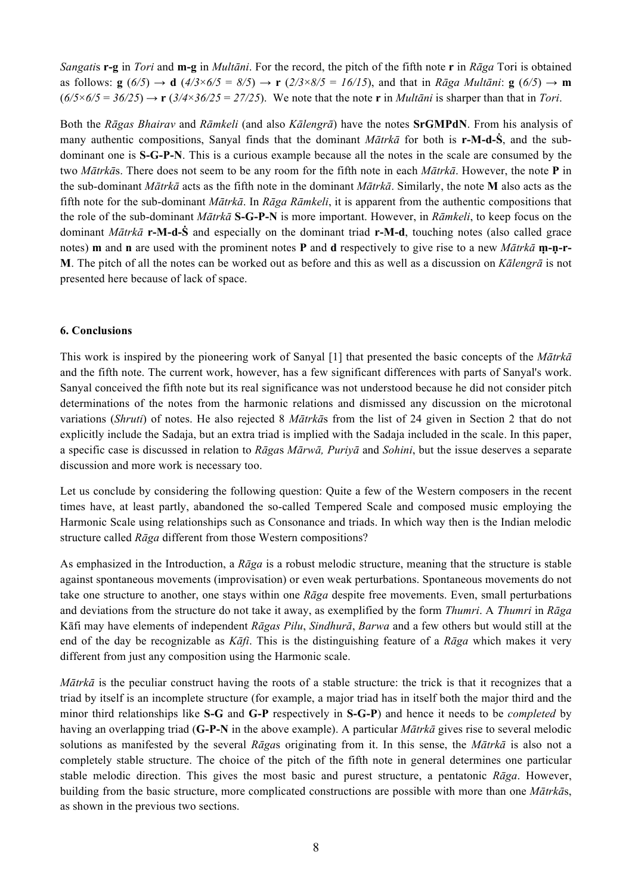*Sangati*s **r-g** in *Tori* and **m-g** in *Multāni*. For the record, the pitch of the fifth note **r** in *Rāga* Tori is obtained as follows:  $g(6/5) \rightarrow d(4/3\times6/5 = 8/5) \rightarrow r(2/3\times8/5 = 16/15)$ , and that in Rāga Multāni:  $g(6/5) \rightarrow m$  $(6/5 \times 6/5 = 36/25) \rightarrow r (3/4 \times 36/25 = 27/25)$ . We note that the note **r** in *Multani* is sharper than that in *Tori*.

Both the *Rāgas Bhairav* and *Rāmkeli* (and also *Kālengrā*) have the notes **SrGMPdN**. From his analysis of many authentic compositions, Sanyal finds that the dominant *Mātrkā* for both is **r-M-d-Ṡ**, and the subdominant one is **S-G-P-N**. This is a curious example because all the notes in the scale are consumed by the two *Mātrkā*s. There does not seem to be any room for the fifth note in each *Mātrkā*. However, the note **P** in the sub-dominant *Mātrkā* acts as the fifth note in the dominant *Mātrkā*. Similarly, the note **M** also acts as the fifth note for the sub-dominant *Mātrkā*. In *Rāga Rāmkeli*, it is apparent from the authentic compositions that the role of the sub-dominant *Mātrkā* **S-G-P-N** is more important. However, in *Rāmkeli*, to keep focus on the dominant *Mātrkā* **r-M-d-Ṡ** and especially on the dominant triad **r-M-d**, touching notes (also called grace notes) **m** and **n** are used with the prominent notes **P** and **d** respectively to give rise to a new *Mātrkā* **ṃ-ṇ-r-M**. The pitch of all the notes can be worked out as before and this as well as a discussion on *Kālengrā* is not presented here because of lack of space.

## **6. Conclusions**

This work is inspired by the pioneering work of Sanyal [1] that presented the basic concepts of the *Mātrkā* and the fifth note. The current work, however, has a few significant differences with parts of Sanyal's work. Sanyal conceived the fifth note but its real significance was not understood because he did not consider pitch determinations of the notes from the harmonic relations and dismissed any discussion on the microtonal variations (*Shruti*) of notes. He also rejected 8 *Mātrkā*s from the list of 24 given in Section 2 that do not explicitly include the Sadaja, but an extra triad is implied with the Sadaja included in the scale. In this paper, a specific case is discussed in relation to *Rāga*s *Mārwā, Puriyā* and *Sohini*, but the issue deserves a separate discussion and more work is necessary too.

Let us conclude by considering the following question: Quite a few of the Western composers in the recent times have, at least partly, abandoned the so-called Tempered Scale and composed music employing the Harmonic Scale using relationships such as Consonance and triads. In which way then is the Indian melodic structure called *Rāga* different from those Western compositions?

As emphasized in the Introduction, a *Rāga* is a robust melodic structure, meaning that the structure is stable against spontaneous movements (improvisation) or even weak perturbations. Spontaneous movements do not take one structure to another, one stays within one *Rāga* despite free movements. Even, small perturbations and deviations from the structure do not take it away, as exemplified by the form *Thumri*. A *Thumri* in *Rāga* Kāfi may have elements of independent *Rāgas Pilu*, *Sindhurā*, *Barwa* and a few others but would still at the end of the day be recognizable as *Kāfi*. This is the distinguishing feature of a *Rāga* which makes it very different from just any composition using the Harmonic scale.

*Mātrkā* is the peculiar construct having the roots of a stable structure: the trick is that it recognizes that a triad by itself is an incomplete structure (for example, a major triad has in itself both the major third and the minor third relationships like **S-G** and **G-P** respectively in **S-G-P**) and hence it needs to be *completed* by having an overlapping triad (**G-P-N** in the above example). A particular *Mātrkā* gives rise to several melodic solutions as manifested by the several *Rāga*s originating from it. In this sense, the *Mātrkā* is also not a completely stable structure. The choice of the pitch of the fifth note in general determines one particular stable melodic direction. This gives the most basic and purest structure, a pentatonic *Rāga*. However, building from the basic structure, more complicated constructions are possible with more than one *Mātrkā*s, as shown in the previous two sections.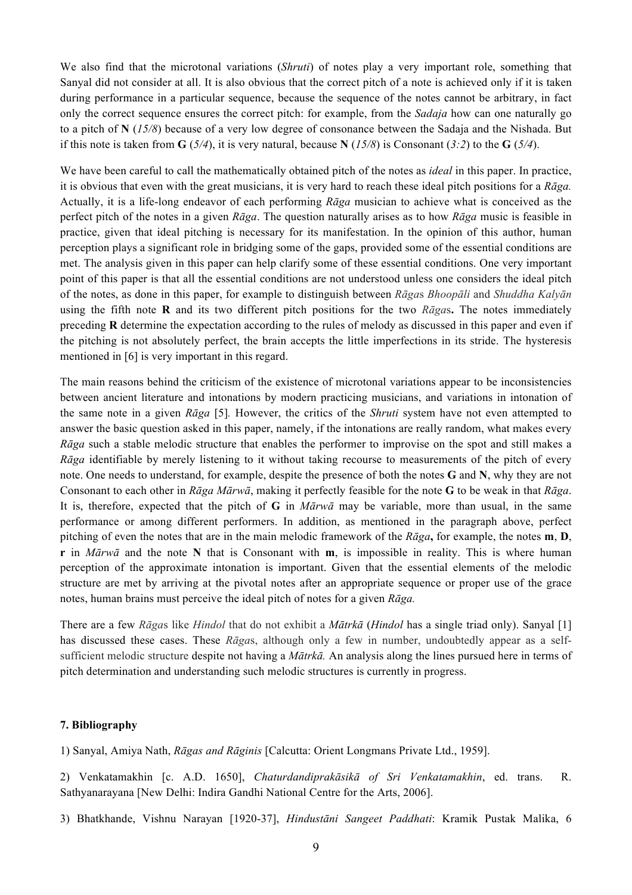We also find that the microtonal variations (*Shruti*) of notes play a very important role, something that Sanyal did not consider at all. It is also obvious that the correct pitch of a note is achieved only if it is taken during performance in a particular sequence, because the sequence of the notes cannot be arbitrary, in fact only the correct sequence ensures the correct pitch: for example, from the *Sadaja* how can one naturally go to a pitch of **N** (*15/8*) because of a very low degree of consonance between the Sadaja and the Nishada. But if this note is taken from  $\mathbf{G}$  (*5/4*), it is very natural, because  $\mathbf{N}$  (*15/8*) is Consonant (*3:2*) to the  $\mathbf{G}$  (*5/4*).

We have been careful to call the mathematically obtained pitch of the notes as *ideal* in this paper. In practice, it is obvious that even with the great musicians, it is very hard to reach these ideal pitch positions for a *Rāga.* Actually, it is a life-long endeavor of each performing *Rāga* musician to achieve what is conceived as the perfect pitch of the notes in a given *Rāga*. The question naturally arises as to how *Rāga* music is feasible in practice, given that ideal pitching is necessary for its manifestation. In the opinion of this author, human perception plays a significant role in bridging some of the gaps, provided some of the essential conditions are met. The analysis given in this paper can help clarify some of these essential conditions. One very important point of this paper is that all the essential conditions are not understood unless one considers the ideal pitch of the notes, as done in this paper, for example to distinguish between *Rāga*s *Bhoopāli* and *Shuddha Kalyān* using the fifth note **R** and its two different pitch positions for the two *Rāga*s**.** The notes immediately preceding **R** determine the expectation according to the rules of melody as discussed in this paper and even if the pitching is not absolutely perfect, the brain accepts the little imperfections in its stride. The hysteresis mentioned in [6] is very important in this regard.

The main reasons behind the criticism of the existence of microtonal variations appear to be inconsistencies between ancient literature and intonations by modern practicing musicians, and variations in intonation of the same note in a given *Rāga* [5]*.* However, the critics of the *Shruti* system have not even attempted to answer the basic question asked in this paper, namely, if the intonations are really random, what makes every *Rāga* such a stable melodic structure that enables the performer to improvise on the spot and still makes a *Rāga* identifiable by merely listening to it without taking recourse to measurements of the pitch of every note. One needs to understand, for example, despite the presence of both the notes **G** and **N**, why they are not Consonant to each other in *Rāga Mārwā*, making it perfectly feasible for the note **G** to be weak in that *Rāga*. It is, therefore, expected that the pitch of **G** in *Mārwā* may be variable, more than usual, in the same performance or among different performers. In addition, as mentioned in the paragraph above, perfect pitching of even the notes that are in the main melodic framework of the *Rāga***,** for example, the notes **m**, **D**, **r** in *Mārwā* and the note **N** that is Consonant with **m**, is impossible in reality. This is where human perception of the approximate intonation is important. Given that the essential elements of the melodic structure are met by arriving at the pivotal notes after an appropriate sequence or proper use of the grace notes, human brains must perceive the ideal pitch of notes for a given *Rāga.*

There are a few *Rāga*s like *Hindol* that do not exhibit a *Mātrkā* (*Hindol* has a single triad only). Sanyal [1] has discussed these cases. These *Rāga*s, although only a few in number, undoubtedly appear as a selfsufficient melodic structure despite not having a *Mātrkā.* An analysis along the lines pursued here in terms of pitch determination and understanding such melodic structures is currently in progress.

#### **7. Bibliography**

1) Sanyal, Amiya Nath, *Rāgas and Rāginis* [Calcutta: Orient Longmans Private Ltd., 1959].

2) Venkatamakhin [c. A.D. 1650], *Chaturdandiprakāsikā of Sri Venkatamakhin*, ed. trans. R. Sathyanarayana [New Delhi: Indira Gandhi National Centre for the Arts, 2006].

3) Bhatkhande, Vishnu Narayan [1920-37], *Hindustāni Sangeet Paddhati*: Kramik Pustak Malika, 6